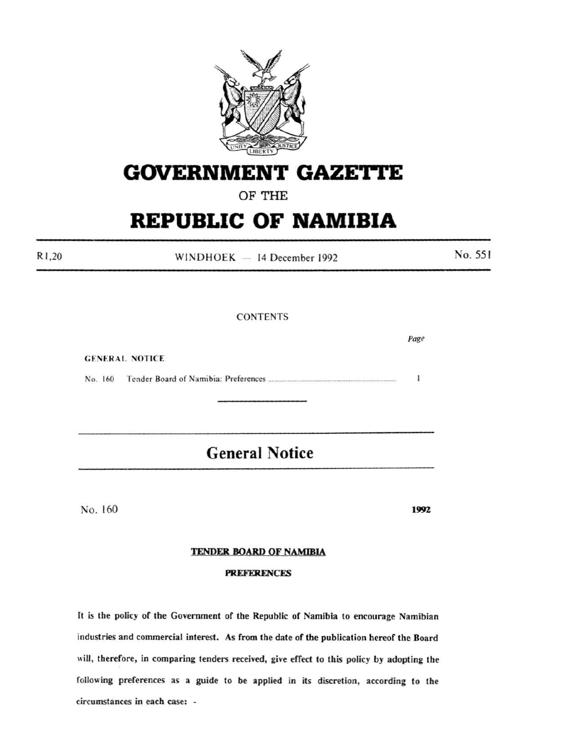

# **GOVERNMENT GAZETTE**

### OF THE

## **REPUBLIC OF NAMIBIA**

 $WINDHOEK - 14 December 1992$ 

**CONTENTS** 

*Page*  **GENERAL NOTICE** No. 160 Tender Board of Namibia: Preferences ................................................................... .  $\mathbf{I}$ 

## **General Notice**

No. 160

Rl ,20

1992

No. 551

### TENDER BOARD OF NAMIBIA

#### PREFERENCES

It is the policy of the Government of the Republic of Namibia to encourage Namibian industries and commercial interest. As from the date of the publication hereof the Board will, therefore, in comparing tenders received, give effect to this policy by adopting the following preferences as a guide to be applied in its discretion, according to the circumstances in each case: -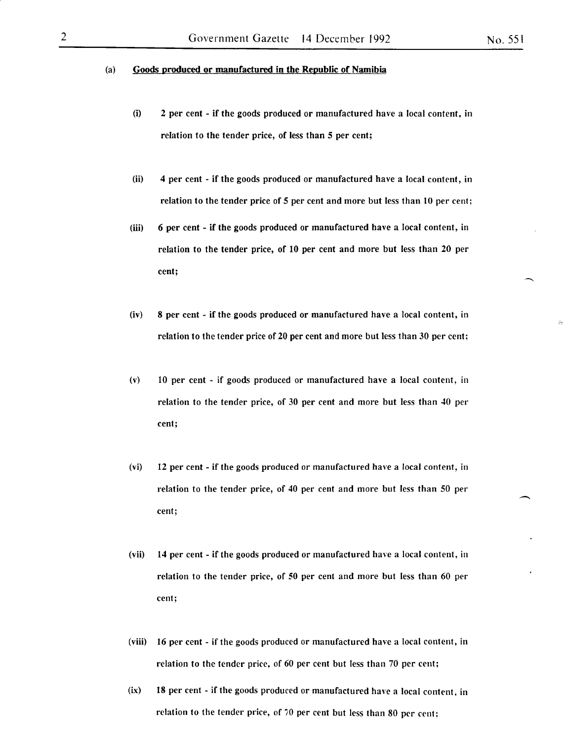#### (a) Goods produced or manufactured in the Republic of Namibia

- (i) 2 per cent if the goods produced or manufactured have a local content, in relation to the tender price, of less than 5 per cent;
- (ii) 4 per cent- if the goods produced or manufactured have a local content, in relation to the tender price of 5 per cent and more but less than 10 per cent;
- (iii) 6 per cent if the goods produced or manufactured have a local content, in relation to the tender price, of 10 per cent and more but less than 20 per cent;
- (iv) 8 per cent if the goods produced or manufactured have a local content, in relation to the tender price of 20 per cent and more but less than 30 per cent;
- (v) 10 per cent if goods produced or manufactured have a local content, in relation to the tender price, of 30 per cent and more but less than 40 per cent;
- (vi) 12 per cent- if the goods produced or manufactured have a local content, in relation to the tender price, of 40 per cent and more but less than 50 per cent;
- (vii) 14 per cent if the goods produced or manufactured have a local content, in relation to the tender price, of 50 per cent and more but less than 60 per cent;
- (viii) 16 per cent- if the goods produced or manufactured have a local content, in relation to the tender price, of 60 per cent but less than 70 per cent;
- $(ix)$  18 per cent if the goods produced or manufactured have a local content, in relation to the tender price, of 70 per cent but less than 80 per cent;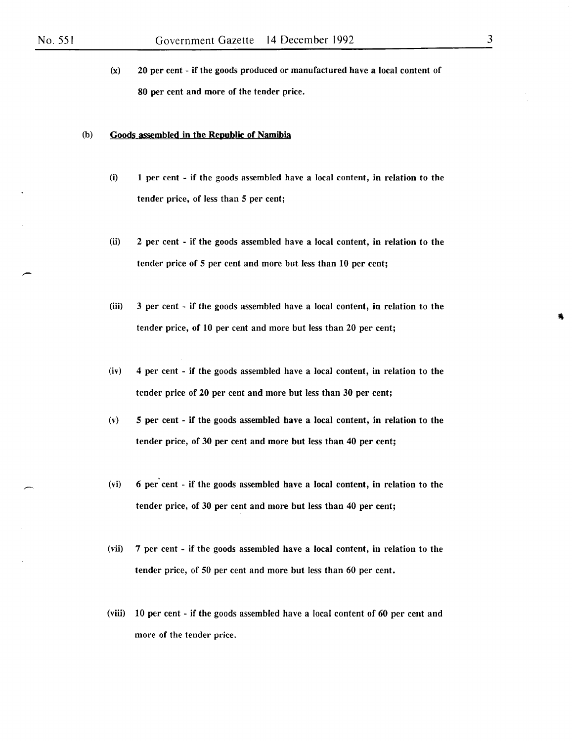(x) 20 per cent - if the goods produced or manufactured have a local content of 80 per cent and more of the tender price.

#### (b) Goods assembled in the Republic of Namibia

- (i) 1 per cent if the goods assembled have a local content, in relation to the tender price, of less than *5* per cent;
- (ii) 2 per cent if the goods assembled have a local content, in relation to the tender price of *5* per cent and more but less than 10 per cent;
- (iii) 3 per cent if the goods assembled have a local content, in relation to the tender price, of 10 per cent and more but less than 20 per cent;
- (iv) 4 per cent if the goods assembled have a local content, in relation to the tender price of 20 per cent and more but less than 30 per cent;
- (v) *5* per cent if the goods assembled have a local content, in relation to the tender price, of 30 per cent and more but less than 40 per cent;
- (vi) 6 per cent if the goods assembled have a local content, in relation to the tender price, of 30 per cent and more but less than 40 per cent;
- (vii) 7 per cent if the goods assembled have a local content, in relation to the tender price, of 50 per cent and more but less than 60 per cent.
- (viii) 10 per cent if the goods assembled have a local content of 60 per cent and more of the tender price.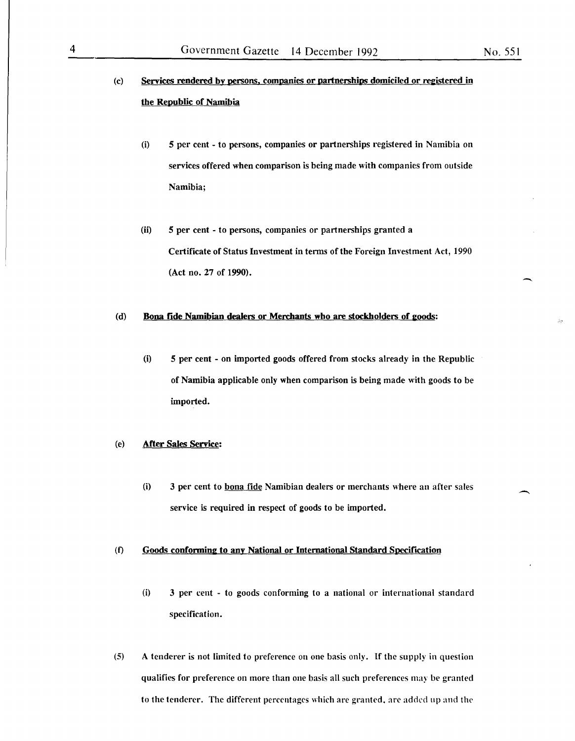- (c) Services rendered by persons. companies or partnerships domiciled or registered in the Republic of Namibia
	- (i) 5 per cent to persons, companies or partnerships registered in Namibia on services offered when comparison is being made with companies from outside Namibia;
	- (ii) 5 per cent to persons, companies or partnerships granted a Certificate of Status Investment in terms of the Foreign Investment Act, 1990 (Act no. 27 of 1990).

#### (d) Bona fide Namibian dealers or Merchants who are stockholders of goods:

(i) 5 per cent - on imported goods offered from stocks already in the Republic of Namibia applicable only when comparison is being made with goods to be imported.

#### (e) After Sales Service:

(i) 3 per cent to bona fide Namibian dealers or merchants where an after sales service is required in respect of goods to be imported.

#### (f) Goods conforming to any National or International Standard Specification

- (i) 3 per cent to goods conforming to a national or international standard specification.
- (5) A tenderer is not limited to preference on one basis only. If the supply in question qualifies for preference on more than one basis all such preferences may be granted to the tenderer. The different percentages which are granted. are added up and the

-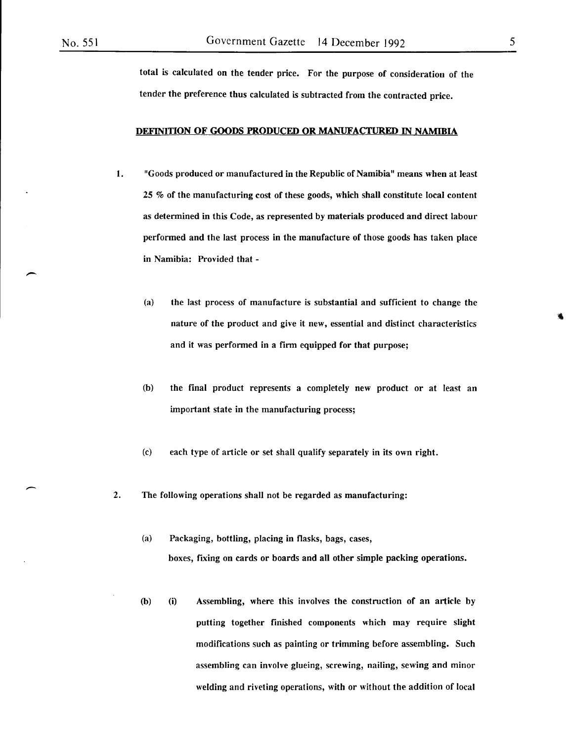-

total is calculated on the tender price. For the purpose of consideration of the tender the preference thus calculated is subtracted from the contracted price.

#### DEFINITION OF GOODS PRODUCED OR MANUFACTURED IN NAMIBIA

- 1. "Goods produced or manufactured in the Republic of Namibia" means when at least 25 % of the manufacturing cost of these goods, which shall constitute local content as determined in this Code, as represented by materials produced and direct labour performed and the last process in the manufacture of those goods has taken place in Namibia: Provided that -
	- (a) the last process of manufacture is substantial and sufficient to change the nature of the product and give it new, essential and distinct characteristics and it was performed in a firm equipped for that purpose;
	- (b) the final product represents a completely new product or at least an important state in the manufacturing process;
	- (c) each type of article or set shall qualify separately in its own right.
- 2. The following operations shall not be regarded as manufacturing:
	- (a) Packaging, bottling, placing in flasks, bags, cases, boxes, fixing on cards or boards and all other simple packing operations.
	- (b) (i) Assembling, where this involves the construction of an article by putting together finished components which may require slight modifications such as painting or trimming before assembling. Such assembling can involve glueing, screwing, nailing, sewing and minor welding and riveting operations, with or without the addition of local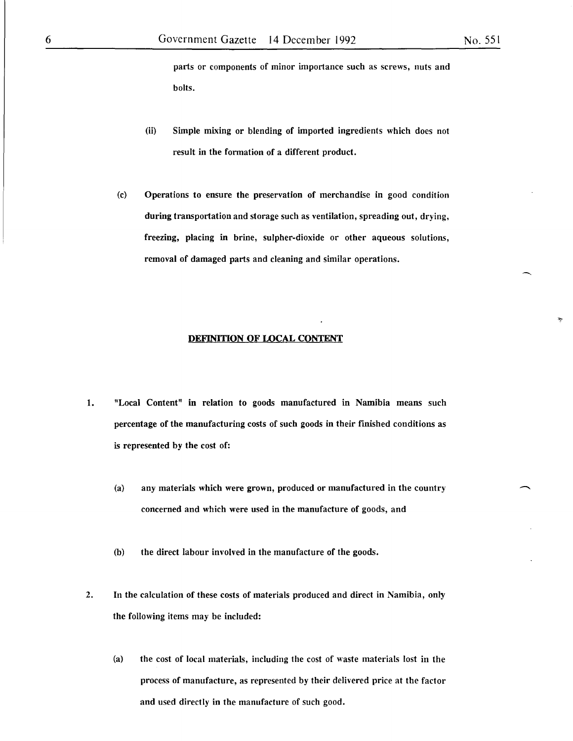parts or components of minor importance such as screws, nuts and bolts.

- (ii) Simple mixing or blending of imported ingredients which does not result in the formation of a different product.
- (c) Operations to ensure the preservation of merchandise in good condition during transportation and storage such as ventilation, spreading out, drying, freezing, placing in brine, sulpher-dioxide or other aqueous solutions, removal of damaged parts and cleaning and similar operations.

#### **DEFINITION OF LOCAL CONTENT**

- 1. "Local Content" in relation to goods manufactured in Namibia means such percentage of the manufacturing costs of such goods in their fmished conditions as is represented by the cost of:
	- (a) any materials which were grown, produced or manufactured in the country concerned and which were used in the manufacture of goods, and
	- (b) the direct labour imolved in the manufacture of the goods.
- 2. In the calculation of these costs of materials produced and direct in Namibia, only the following items may be included:
	- (a) the cost of local materials, including the cost of waste materials lost in the process of manufacture, as represented by their delivered price at the factor and used directly in the manufacture of such good.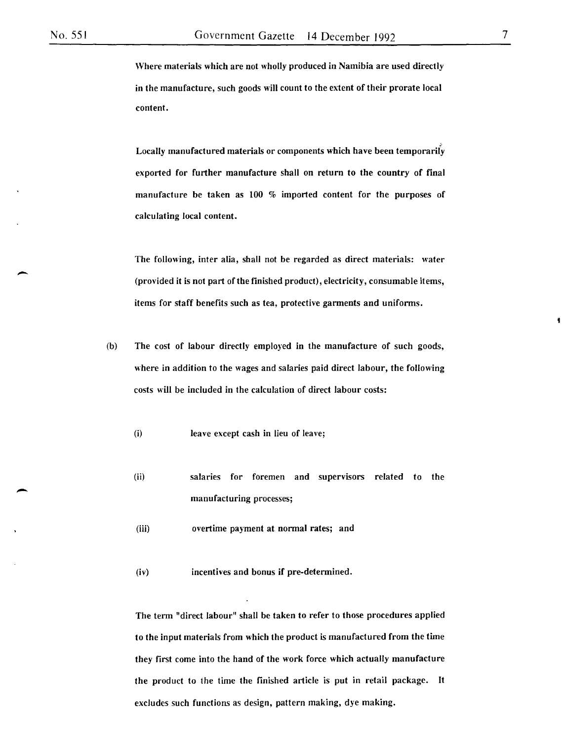-

-

Where materials which are not wholly produced in Namibia are used directly in the manufacture, such goods will count to the extent of their prorate local content.

Locally manufactured materials or components which have been temporarily exported for further manufacture shall on return to the country of final manufacture be taken as 100 % imported content for the purposes of calculating local content.

The following, inter alia, shall not be regarded as direct materials: water (provided it is not part of the finished product), electricity, consumable items, items for staff benefits such as tea, protective garments and uniforms.

- (b) The cost of labour directly employed in the manufacture of such goods, where in addition to the wages and salaries paid direct labour, the following costs will be included in the calculation of direct labour costs:
	- (i) leave except cash in lieu of leave;
	- (ii) salaries for foremen and supervisors related to the manufacturing processes;

(iii) overtime payment at normal rates; and

(iv) incentives and bonus if pre-determined.

The term "direct labour" shall be taken to refer to those procedures applied to the input materials from which the product is manufactured from the time they first come into the hand of the work force which actually manufacture the product to the time the finished article is put in retail package. It excludes such functions as design, pattern making, dye making.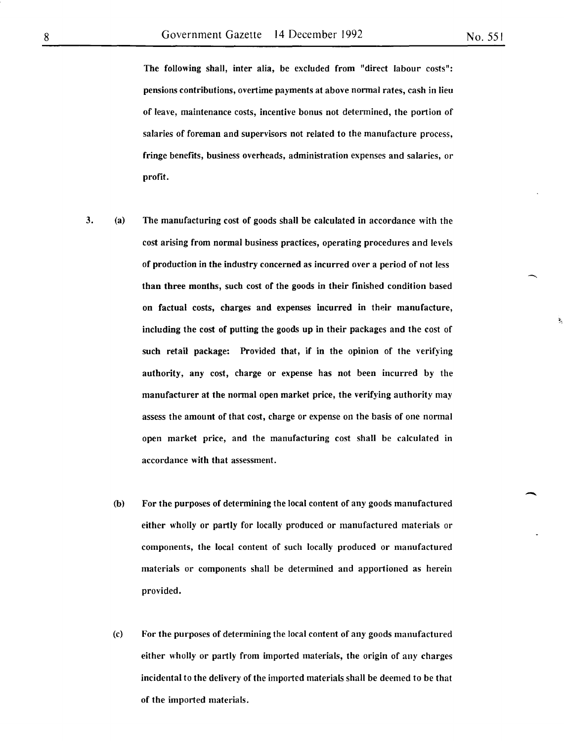-

The following shall, inter alia, be excluded from "direct labour costs": pensions contributions, overtime payments at above normal rates, cash in lieu of leave, maintenance costs, incentive bonus not determined, the portion of salaries of foreman and supervisors not related to the manufacture process, fringe benefits, business overheads, administration expenses and salaries, or profit.

- 3. (a) The manufacturing cost of goods shall be calculated in accordance with the cost arising from normal business practices, operating procedures and levels of production in the industry concerned as incurred over a period of not less than three months, such cost of the goods in their finished condition based on factual costs, charges and expenses incurred in their manufacture, including the cost of putting the goods up in their packages and the cost of such retail package: Provided that, if in the opinion of the verifying authority, any cost, charge or expense has not been incurred by the manufacturer at the normal open market price, the verifying authority may assess the amount of that cost, charge or expense on the basis of one normal open market price, and the manufacturing cost shall be calculated in accordance with that assessment.
	- (b) For the purposes of determining the local content of any goods manufactured either wholly or partly for locally produced or manufactured materials or components, the local content of such locally produced or manufactured materials or components shall be determined and apportioned as herein provided.
	- (c) For the purposes of determining the local content of any goods manufactured either wholly or partly from imported materials, the origin of any charges incidental to the delivery of the imported materials shall be deemed to be that of the imported materials.

8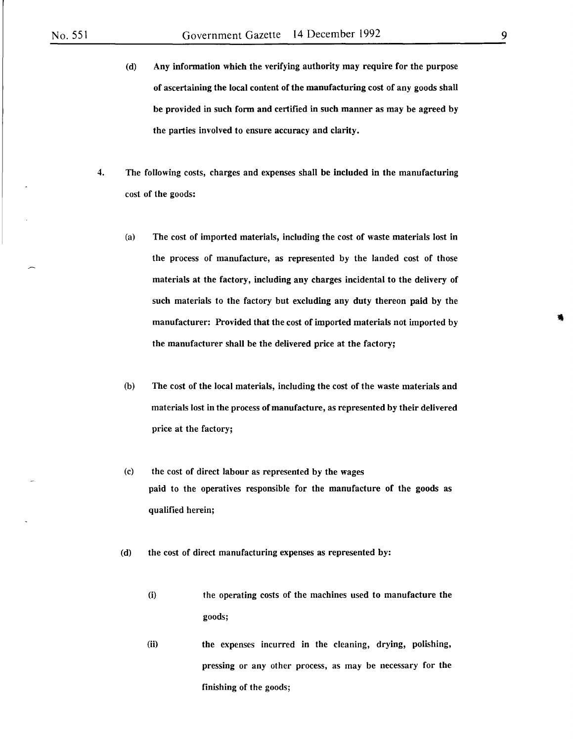- (d) Any information which the verifying authority may require for the purpose of ascertaining the local content of the manufacturing cost of any goods shall be provided in such form and certified in such manner as may be agreed by the parties involved to ensure accuracy and clarity.
- 4. The following costs, charges and expenses shall be included in the manufacturing cost of the goods:
	- (a) The cost of imported materials, including the cost of waste materials lost in the process of manufacture, as represented by the landed cost of those materials at the factory, including any charges incidental to the delivery of such materials to the factory but excluding any duty thereon paid by the manufacturer: Provided that the cost of imported materials not imported by the manufacturer shall be the delivered price at the factory;
	- (b) The cost of the local materials, including the cost of the waste materials and materials lost in the process of manufacture, as represented by their delivered price at the factory;
	- (c) the cost of direct labour as represented by the wages paid to the operatives responsible for the manufacture of the goods as qualified herein;
	- (d) the cost of direct manufacturing expenses as represented by:
		- (i) the operating costs of the machines used to manufacture the goods;
		- (ii) the expenses incurred in the cleaning, drying, polishing, pressing or any other process, as may be necessary for the finishing of the goods;

9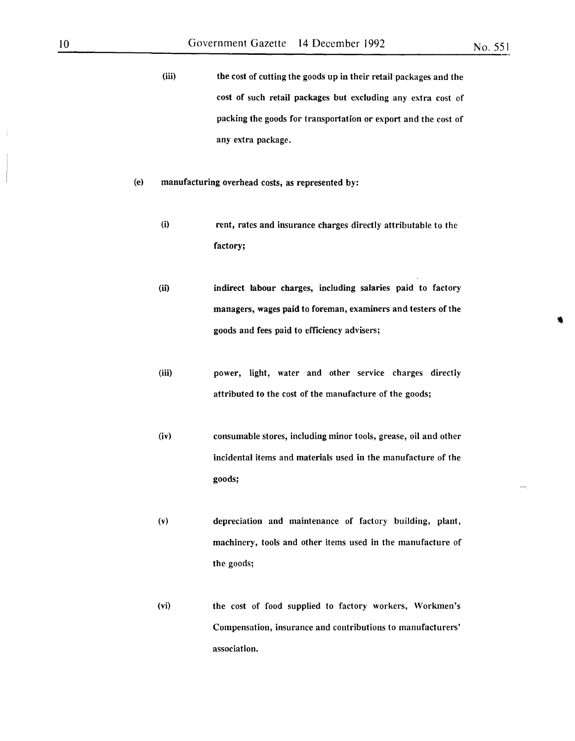(iii) the cost of cutting the goods up in their retail packages and the cost of such retail packages but excluding any extra cost of packing the goods for transportation or export and the cost of any extra package.

- (e) manufacturing overhead costs, as represented by:
	- (i) rent, rates and insurance charges directly attributable to the factory;
	- (ii) indirect labour charges, including salaries paid to factory managers, wages paid to foreman, examiners and testers of the goods and fees paid to efficiency advisers;
	- (iii) power, light, water and other service charges directly attributed to the cost of the manufacture of the goods;
	- (iv) consumable stores, including minor tools, grease, oil and other incidental items and materials used in the manufacture of the goods;
	- (v) depreciation and maintenance of factory building, plant, machinery, tools and other items used in the manufacture of the goods;
	- (vi) the cost of food supplied to factory workers, Workmen's Compensation, insurance and contributions to manufacturers' association.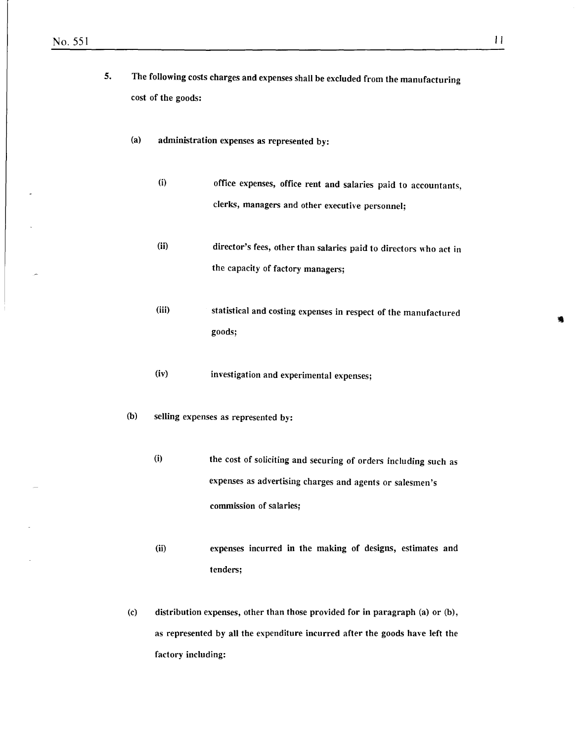- 5. The following costs charges and expenses shall be excluded from the manufacturing cost of the goods:
	- (a) administration expenses as represented by:
		- (i) office expenses, office rent and salaries paid to accountants, clerks, managers and other executive personnel;
		- (ii) director's fees, other than salaries paid to directors who act in the capacity of factory managers;
		- (iii) statistical and costing expenses in respect of the manufactured goods;

(iv) investigation and experimental expenses;

- (b) selling expenses as represented by:
	- (i) the cost of soliciting and securing of orders including such as expenses as advertising charges and agents or salesmen's commission of salaries;
	- (ii) expenses incurred in the making of designs, estimates and tenders;
- (c) distribution expenses, other than those provided for in paragraph (a) or (b), as represented by all the expenditure incurred after the goods have left the factory including: